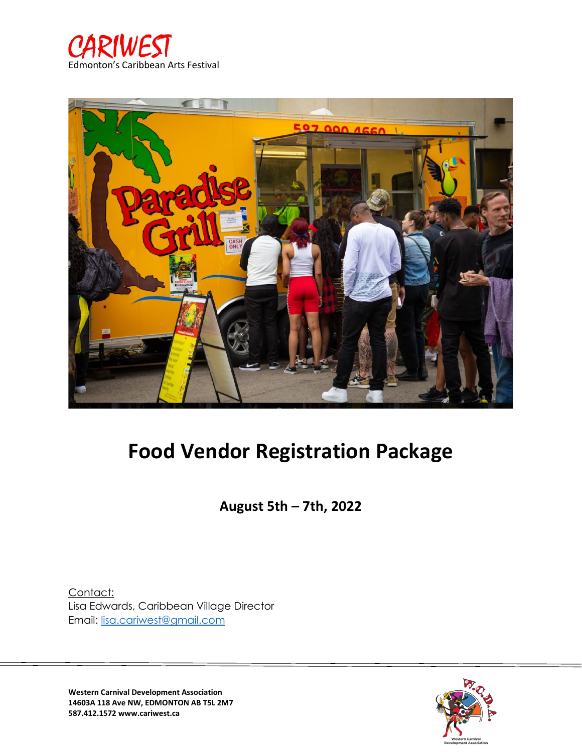



# **Food Vendor Registration Package**

**August 5th – 7th, 2022**

Contact: Lisa Edwards, Caribbean Village Director Email: [lisa.cariwest@gmail.com](mailto:lisa.cariwest@gmail.com)



**Western Carnival Development Association 14603A 118 Ave NW, EDMONTON AB T5L 2M7 587.412.1572 www.cariwest.ca**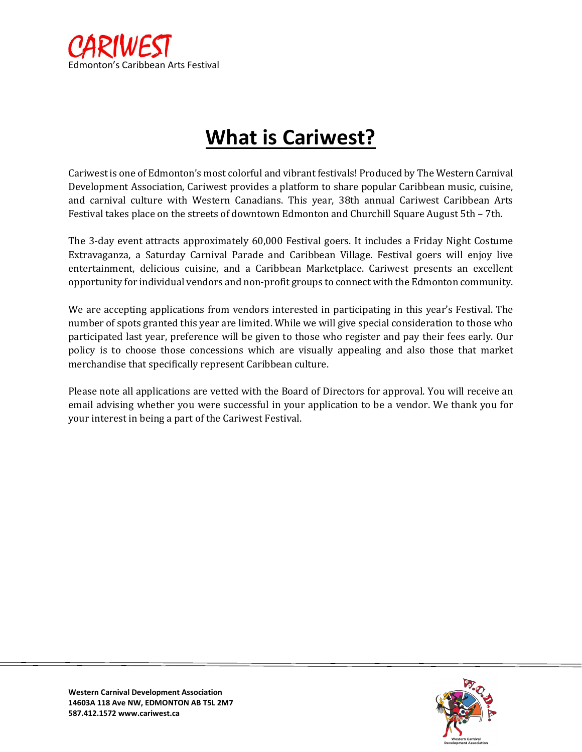

# **What is Cariwest?**

Cariwest is one of Edmonton's most colorful and vibrant festivals! Produced by The Western Carnival Development Association, Cariwest provides a platform to share popular Caribbean music, cuisine, and carnival culture with Western Canadians. This year, 38th annual Cariwest Caribbean Arts Festival takes place on the streets of downtown Edmonton and Churchill Square August 5th – 7th.

The 3-day event attracts approximately 60,000 Festival goers. It includes a Friday Night Costume Extravaganza, a Saturday Carnival Parade and Caribbean Village. Festival goers will enjoy live entertainment, delicious cuisine, and a Caribbean Marketplace. Cariwest presents an excellent opportunity for individual vendors and non-profit groups to connect with the Edmonton community.

We are accepting applications from vendors interested in participating in this year's Festival. The number of spots granted this year are limited. While we will give special consideration to those who participated last year, preference will be given to those who register and pay their fees early. Our policy is to choose those concessions which are visually appealing and also those that market merchandise that specifically represent Caribbean culture.

Please note all applications are vetted with the Board of Directors for approval. You will receive an email advising whether you were successful in your application to be a vendor. We thank you for your interest in being a part of the Cariwest Festival.

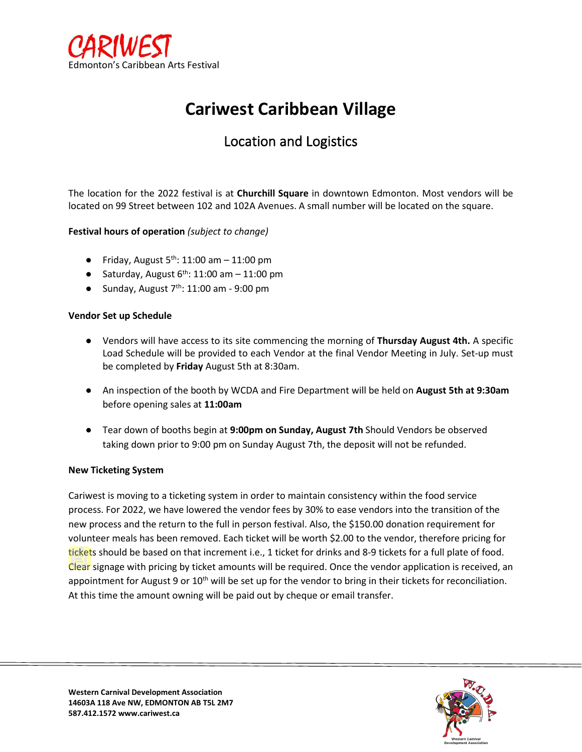

### **Cariwest Caribbean Village**

### Location and Logistics

The location for the 2022 festival is at **Churchill Square** in downtown Edmonton. Most vendors will be located on 99 Street between 102 and 102A Avenues. A small number will be located on the square.

#### **Festival hours of operation** *(subject to change)*

- Friday, August  $5<sup>th</sup>$ : 11:00 am  $-$  11:00 pm
- Saturday, August  $6^{th}$ : 11:00 am 11:00 pm
- Sunday, August  $7<sup>th</sup>$ : 11:00 am 9:00 pm

#### **Vendor Set up Schedule**

- Vendors will have access to its site commencing the morning of **Thursday August 4th.** A specific Load Schedule will be provided to each Vendor at the final Vendor Meeting in July. Set-up must be completed by **Friday** August 5th at 8:30am.
- An inspection of the booth by WCDA and Fire Department will be held on **August 5th at 9:30am**  before opening sales at **11:00am**
- Tear down of booths begin at **9:00pm on Sunday, August 7th** Should Vendors be observed taking down prior to 9:00 pm on Sunday August 7th, the deposit will not be refunded.

#### **New Ticketing System**

Cariwest is moving to a ticketing system in order to maintain consistency within the food service process. For 2022, we have lowered the vendor fees by 30% to ease vendors into the transition of the new process and the return to the full in person festival. Also, the \$150.00 donation requirement for volunteer meals has been removed. Each ticket will be worth \$2.00 to the vendor, therefore pricing for tickets should be based on that increment i.e., 1 ticket for drinks and 8-9 tickets for a full plate of food. Clear signage with pricing by ticket amounts will be required. Once the vendor application is received, an appointment for August 9 or  $10<sup>th</sup>$  will be set up for the vendor to bring in their tickets for reconciliation. At this time the amount owning will be paid out by cheque or email transfer.

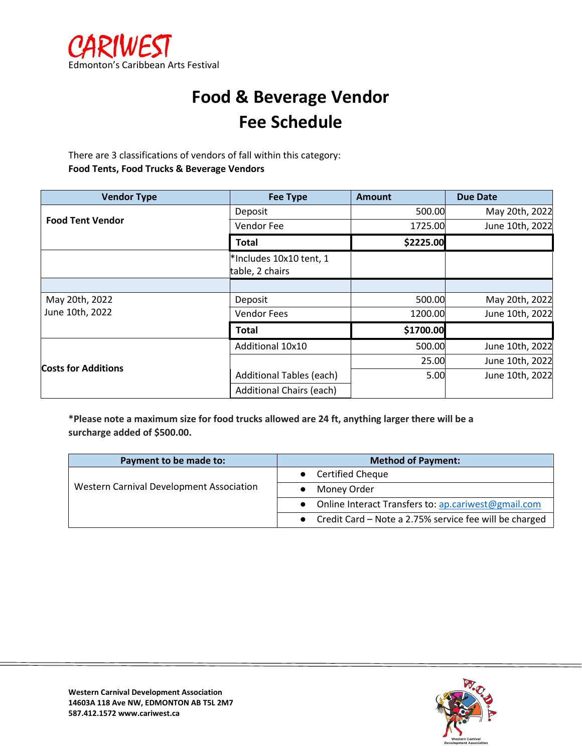

### **Food & Beverage Vendor Fee Schedule**

There are 3 classifications of vendors of fall within this category: **Food Tents, Food Trucks & Beverage Vendors**

| <b>Vendor Type</b>         | <b>Fee Type</b>                            | <b>Amount</b> | <b>Due Date</b> |
|----------------------------|--------------------------------------------|---------------|-----------------|
|                            | Deposit                                    | 500.00        | May 20th, 2022  |
| <b>Food Tent Vendor</b>    | Vendor Fee                                 | 1725.00       | June 10th, 2022 |
|                            | Total                                      | \$2225.00     |                 |
|                            | *Includes 10x10 tent, 1<br>table, 2 chairs |               |                 |
|                            |                                            |               |                 |
| May 20th, 2022             | Deposit                                    | 500.00        | May 20th, 2022  |
| June 10th, 2022            | <b>Vendor Fees</b>                         | 1200.00       | June 10th, 2022 |
|                            | Total                                      | \$1700.00     |                 |
|                            | Additional 10x10                           | 500.00        | June 10th, 2022 |
| <b>Costs for Additions</b> |                                            | 25.00         | June 10th, 2022 |
|                            | <b>Additional Tables (each)</b>            | 5.00          | June 10th, 2022 |
|                            | <b>Additional Chairs (each)</b>            |               |                 |

**\*Please note a maximum size for food trucks allowed are 24 ft, anything larger there will be a surcharge added of \$500.00.**

| Payment to be made to:                   | <b>Method of Payment:</b>                              |
|------------------------------------------|--------------------------------------------------------|
|                                          | <b>Certified Cheque</b>                                |
| Western Carnival Development Association | Money Order                                            |
|                                          | Online Interact Transfers to: ap.cariwest@gmail.com    |
|                                          | Credit Card - Note a 2.75% service fee will be charged |

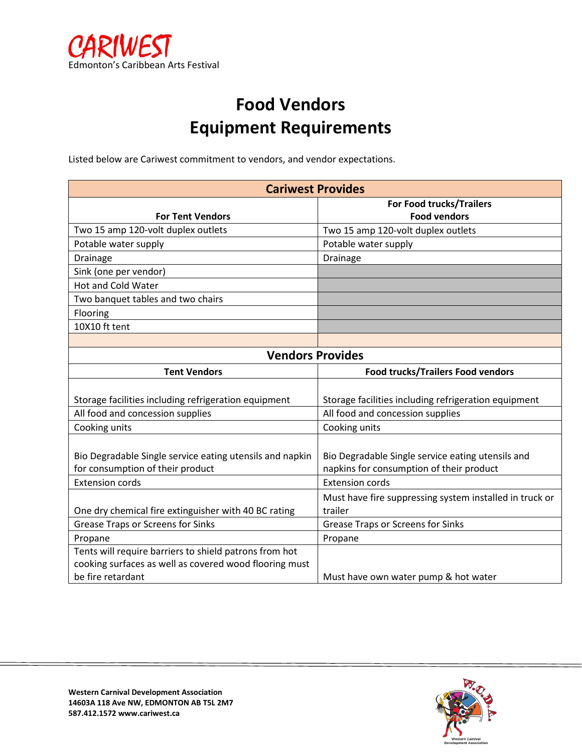

## **Food Vendors Equipment Requirements**

Listed below are Cariwest commitment to vendors, and vendor expectations.

| <b>Cariwest Provides</b>                                 |                                                         |  |
|----------------------------------------------------------|---------------------------------------------------------|--|
|                                                          | For Food trucks/Trailers                                |  |
| <b>For Tent Vendors</b>                                  | <b>Food vendors</b>                                     |  |
| Two 15 amp 120-volt duplex outlets                       | Two 15 amp 120-volt duplex outlets                      |  |
| Potable water supply                                     | Potable water supply                                    |  |
| Drainage                                                 | Drainage                                                |  |
| Sink (one per vendor)                                    |                                                         |  |
| <b>Hot and Cold Water</b>                                |                                                         |  |
| Two banquet tables and two chairs                        |                                                         |  |
| Flooring                                                 |                                                         |  |
| 10X10 ft tent                                            |                                                         |  |
|                                                          |                                                         |  |
| <b>Vendors Provides</b>                                  |                                                         |  |
| <b>Tent Vendors</b>                                      | <b>Food trucks/Trailers Food vendors</b>                |  |
|                                                          |                                                         |  |
| Storage facilities including refrigeration equipment     | Storage facilities including refrigeration equipment    |  |
| All food and concession supplies                         | All food and concession supplies                        |  |
| Cooking units                                            | Cooking units                                           |  |
|                                                          |                                                         |  |
| Bio Degradable Single service eating utensils and napkin | Bio Degradable Single service eating utensils and       |  |
| for consumption of their product                         | napkins for consumption of their product                |  |
| <b>Extension cords</b>                                   | <b>Extension cords</b>                                  |  |
|                                                          | Must have fire suppressing system installed in truck or |  |
| One dry chemical fire extinguisher with 40 BC rating     | trailer                                                 |  |
| <b>Grease Traps or Screens for Sinks</b>                 | <b>Grease Traps or Screens for Sinks</b>                |  |
| Propane                                                  | Propane                                                 |  |
| Tents will require barriers to shield patrons from hot   |                                                         |  |
| cooking surfaces as well as covered wood flooring must   |                                                         |  |
| be fire retardant                                        | Must have own water pump & hot water                    |  |

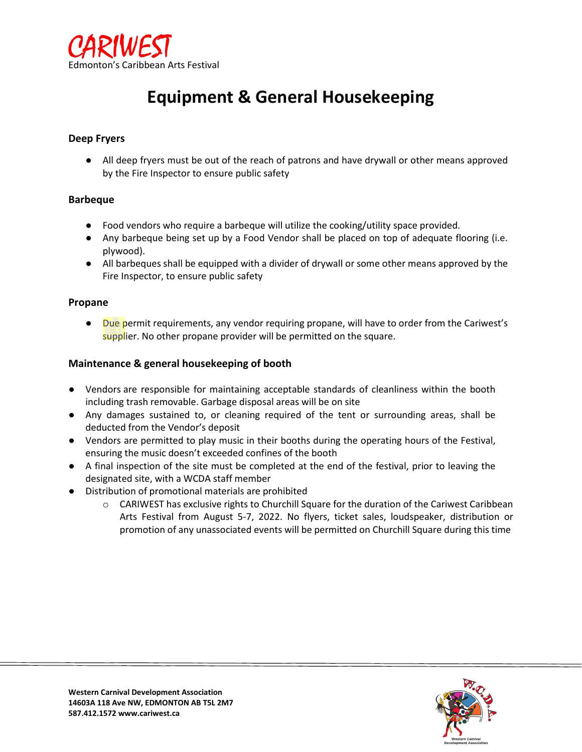

### **Equipment & General Housekeeping**

#### **Deep Fryers**

● All deep fryers must be out of the reach of patrons and have drywall or other means approved by the Fire Inspector to ensure public safety

#### **Barbeque**

- Food vendors who require a barbeque will utilize the cooking/utility space provided.
- Any barbeque being set up by a Food Vendor shall be placed on top of adequate flooring (i.e. plywood).
- All barbeques shall be equipped with a divider of drywall or some other means approved by the Fire Inspector, to ensure public safety

#### **Propane**

● Due permit requirements, any vendor requiring propane, will have to order from the Cariwest's supplier. No other propane provider will be permitted on the square.

#### **Maintenance & general housekeeping of booth**

- Vendors are responsible for maintaining acceptable standards of cleanliness within the booth including trash removable. Garbage disposal areas will be on site
- Any damages sustained to, or cleaning required of the tent or surrounding areas, shall be deducted from the Vendor's deposit
- Vendors are permitted to play music in their booths during the operating hours of the Festival, ensuring the music doesn't exceeded confines of the booth
- A final inspection of the site must be completed at the end of the festival, prior to leaving the designated site, with a WCDA staff member
- Distribution of promotional materials are prohibited
	- o CARIWEST has exclusive rights to Churchill Square for the duration of the Cariwest Caribbean Arts Festival from August 5-7, 2022. No flyers, ticket sales, loudspeaker, distribution or promotion of any unassociated events will be permitted on Churchill Square during this time

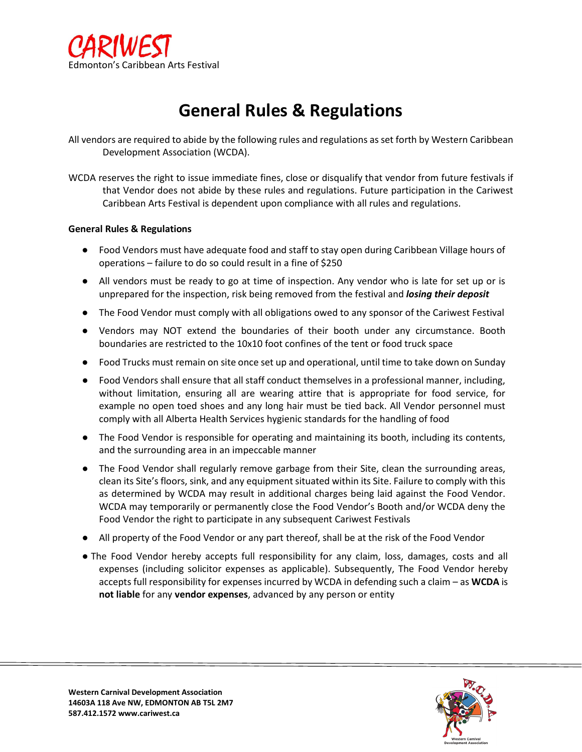

### **General Rules & Regulations**

All vendors are required to abide by the following rules and regulations as set forth by Western Caribbean Development Association (WCDA).

WCDA reserves the right to issue immediate fines, close or disqualify that vendor from future festivals if that Vendor does not abide by these rules and regulations. Future participation in the Cariwest Caribbean Arts Festival is dependent upon compliance with all rules and regulations.

#### **General Rules & Regulations**

- Food Vendors must have adequate food and staff to stay open during Caribbean Village hours of operations – failure to do so could result in a fine of \$250
- All vendors must be ready to go at time of inspection. Any vendor who is late for set up or is unprepared for the inspection, risk being removed from the festival and *losing their deposit*
- The Food Vendor must comply with all obligations owed to any sponsor of the Cariwest Festival
- Vendors may NOT extend the boundaries of their booth under any circumstance. Booth boundaries are restricted to the 10x10 foot confines of the tent or food truck space
- Food Trucks must remain on site once set up and operational, until time to take down on Sunday
- Food Vendors shall ensure that all staff conduct themselves in a professional manner, including, without limitation, ensuring all are wearing attire that is appropriate for food service, for example no open toed shoes and any long hair must be tied back. All Vendor personnel must comply with all Alberta Health Services hygienic standards for the handling of food
- The Food Vendor is responsible for operating and maintaining its booth, including its contents, and the surrounding area in an impeccable manner
- The Food Vendor shall regularly remove garbage from their Site, clean the surrounding areas, clean its Site's floors, sink, and any equipment situated within its Site. Failure to comply with this as determined by WCDA may result in additional charges being laid against the Food Vendor. WCDA may temporarily or permanently close the Food Vendor's Booth and/or WCDA deny the Food Vendor the right to participate in any subsequent Cariwest Festivals
- All property of the Food Vendor or any part thereof, shall be at the risk of the Food Vendor
- The Food Vendor hereby accepts full responsibility for any claim, loss, damages, costs and all expenses (including solicitor expenses as applicable). Subsequently, The Food Vendor hereby accepts full responsibility for expenses incurred by WCDA in defending such a claim – as **WCDA** is **not liable** for any **vendor expenses**, advanced by any person or entity

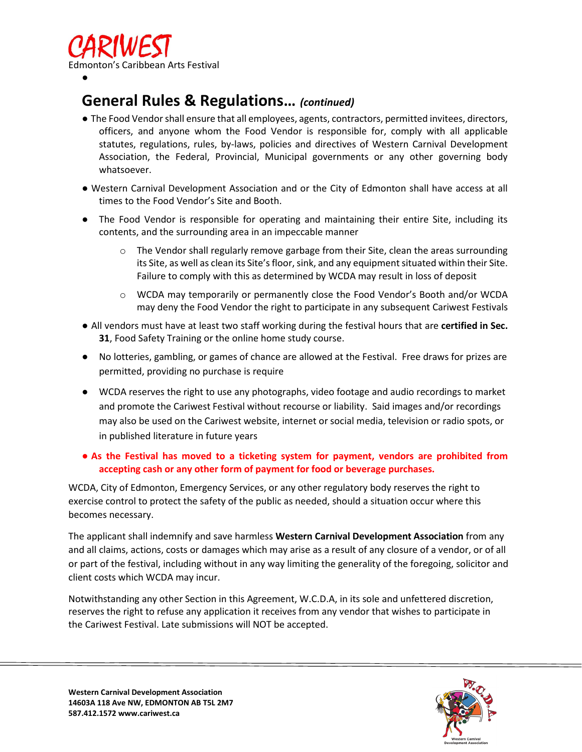

### **General Rules & Regulations…** *(continued)*

- The Food Vendor shall ensure that all employees, agents, contractors, permitted invitees, directors, officers, and anyone whom the Food Vendor is responsible for, comply with all applicable statutes, regulations, rules, by-laws, policies and directives of Western Carnival Development Association, the Federal, Provincial, Municipal governments or any other governing body whatsoever.
- Western Carnival Development Association and or the City of Edmonton shall have access at all times to the Food Vendor's Site and Booth.
- The Food Vendor is responsible for operating and maintaining their entire Site, including its contents, and the surrounding area in an impeccable manner
	- $\circ$  The Vendor shall regularly remove garbage from their Site, clean the areas surrounding its Site, as well as clean its Site's floor, sink, and any equipment situated within their Site. Failure to comply with this as determined by WCDA may result in loss of deposit
	- o WCDA may temporarily or permanently close the Food Vendor's Booth and/or WCDA may deny the Food Vendor the right to participate in any subsequent Cariwest Festivals
- All vendors must have at least two staff working during the festival hours that are **certified in Sec. 31**, Food Safety Training or the online home study course.
- No lotteries, gambling, or games of chance are allowed at the Festival. Free draws for prizes are permitted, providing no purchase is require
- WCDA reserves the right to use any photographs, video footage and audio recordings to market and promote the Cariwest Festival without recourse or liability. Said images and/or recordings may also be used on the Cariwest website, internet or social media, television or radio spots, or in published literature in future years

#### ● **As the Festival has moved to a ticketing system for payment, vendors are prohibited from accepting cash or any other form of payment for food or beverage purchases.**

WCDA, City of Edmonton, Emergency Services, or any other regulatory body reserves the right to exercise control to protect the safety of the public as needed, should a situation occur where this becomes necessary.

The applicant shall indemnify and save harmless **Western Carnival Development Association** from any and all claims, actions, costs or damages which may arise as a result of any closure of a vendor, or of all or part of the festival, including without in any way limiting the generality of the foregoing, solicitor and client costs which WCDA may incur.

Notwithstanding any other Section in this Agreement, W.C.D.A, in its sole and unfettered discretion, reserves the right to refuse any application it receives from any vendor that wishes to participate in the Cariwest Festival. Late submissions will NOT be accepted.

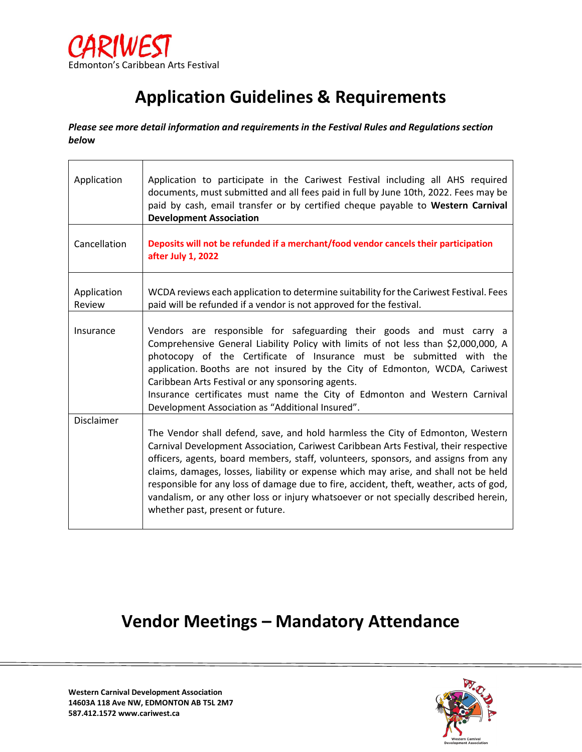

## **Application Guidelines & Requirements**

*Please see more detail information and requirements in the Festival Rules and Regulations section bel***ow**

| Application           | Application to participate in the Cariwest Festival including all AHS required<br>documents, must submitted and all fees paid in full by June 10th, 2022. Fees may be<br>paid by cash, email transfer or by certified cheque payable to Western Carnival<br><b>Development Association</b>                                                                                                                                                                                                                |
|-----------------------|-----------------------------------------------------------------------------------------------------------------------------------------------------------------------------------------------------------------------------------------------------------------------------------------------------------------------------------------------------------------------------------------------------------------------------------------------------------------------------------------------------------|
| Cancellation          | Deposits will not be refunded if a merchant/food vendor cancels their participation<br>after July 1, 2022                                                                                                                                                                                                                                                                                                                                                                                                 |
| Application<br>Review | WCDA reviews each application to determine suitability for the Cariwest Festival. Fees<br>paid will be refunded if a vendor is not approved for the festival.                                                                                                                                                                                                                                                                                                                                             |
| Insurance             | Vendors are responsible for safeguarding their goods and must carry a<br>Comprehensive General Liability Policy with limits of not less than \$2,000,000, A<br>photocopy of the Certificate of Insurance must be submitted with the<br>application. Booths are not insured by the City of Edmonton, WCDA, Cariwest<br>Caribbean Arts Festival or any sponsoring agents.<br>Insurance certificates must name the City of Edmonton and Western Carnival<br>Development Association as "Additional Insured". |
| <b>Disclaimer</b>     | The Vendor shall defend, save, and hold harmless the City of Edmonton, Western                                                                                                                                                                                                                                                                                                                                                                                                                            |
|                       | Carnival Development Association, Cariwest Caribbean Arts Festival, their respective<br>officers, agents, board members, staff, volunteers, sponsors, and assigns from any<br>claims, damages, losses, liability or expense which may arise, and shall not be held<br>responsible for any loss of damage due to fire, accident, theft, weather, acts of god,<br>vandalism, or any other loss or injury whatsoever or not specially described herein,<br>whether past, present or future.                  |

### **Vendor Meetings – Mandatory Attendance**

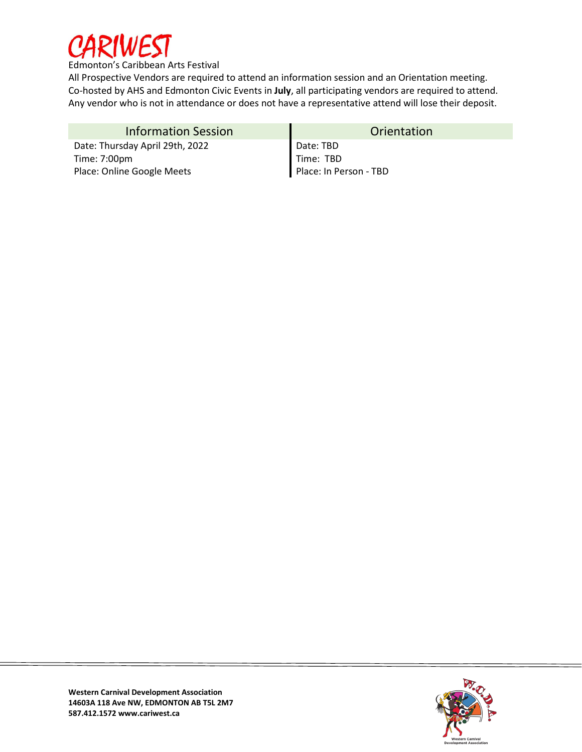

All Prospective Vendors are required to attend an information session and an Orientation meeting. Co-hosted by AHS and Edmonton Civic Events in **July**, all participating vendors are required to attend. Any vendor who is not in attendance or does not have a representative attend will lose their deposit.

| <b>Information Session</b>      | Orientation            |
|---------------------------------|------------------------|
| Date: Thursday April 29th, 2022 | Date: TBD              |
| Time: 7:00pm                    | Time: TBD              |
| Place: Online Google Meets      | Place: In Person - TBD |

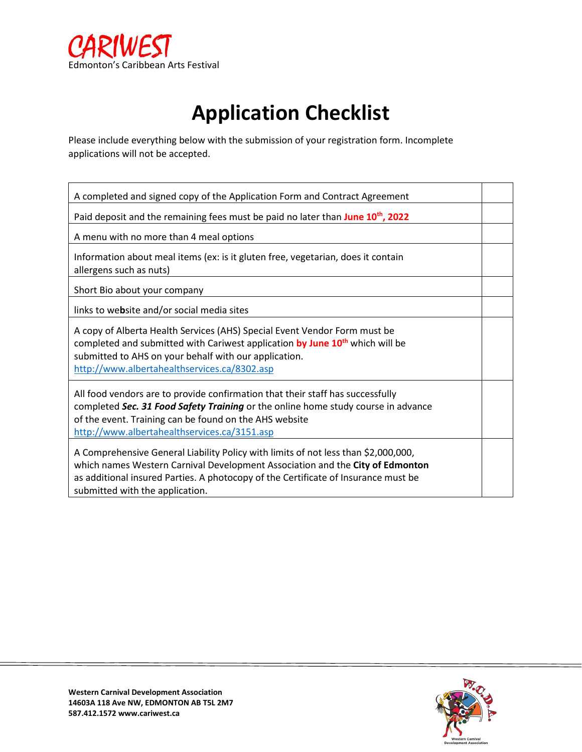

# **Application Checklist**

Please include everything below with the submission of your registration form. Incomplete applications will not be accepted.

| A completed and signed copy of the Application Form and Contract Agreement                                                                                                                                                                                                                   |  |  |
|----------------------------------------------------------------------------------------------------------------------------------------------------------------------------------------------------------------------------------------------------------------------------------------------|--|--|
| Paid deposit and the remaining fees must be paid no later than June 10 <sup>th</sup> , 2022                                                                                                                                                                                                  |  |  |
| A menu with no more than 4 meal options                                                                                                                                                                                                                                                      |  |  |
| Information about meal items (ex: is it gluten free, vegetarian, does it contain<br>allergens such as nuts)                                                                                                                                                                                  |  |  |
| Short Bio about your company                                                                                                                                                                                                                                                                 |  |  |
| links to website and/or social media sites                                                                                                                                                                                                                                                   |  |  |
| A copy of Alberta Health Services (AHS) Special Event Vendor Form must be<br>completed and submitted with Cariwest application by June 10 <sup>th</sup> which will be<br>submitted to AHS on your behalf with our application.<br>http://www.albertahealthservices.ca/8302.asp               |  |  |
| All food vendors are to provide confirmation that their staff has successfully<br>completed Sec. 31 Food Safety Training or the online home study course in advance<br>of the event. Training can be found on the AHS website<br>http://www.albertahealthservices.ca/3151.asp                |  |  |
| A Comprehensive General Liability Policy with limits of not less than \$2,000,000,<br>which names Western Carnival Development Association and the City of Edmonton<br>as additional insured Parties. A photocopy of the Certificate of Insurance must be<br>submitted with the application. |  |  |

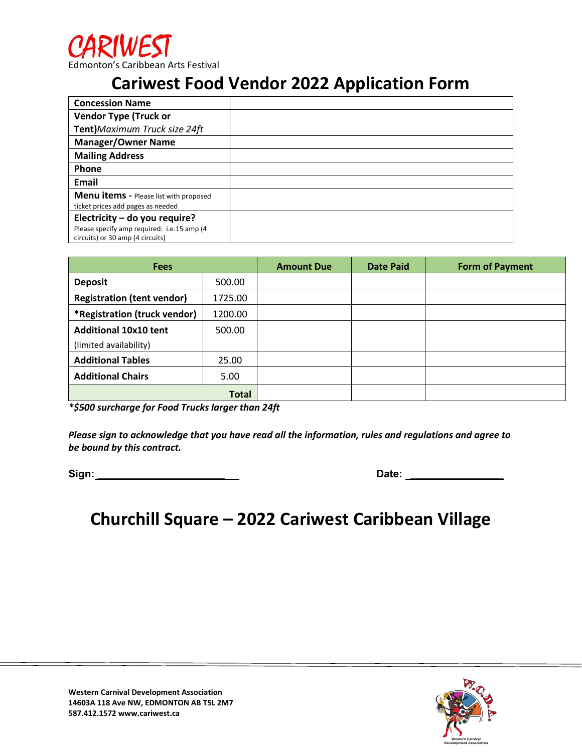### **Cariwest Food Vendor 2022 Application Form**

| <b>Concession Name</b>                        |  |
|-----------------------------------------------|--|
| <b>Vendor Type (Truck or</b>                  |  |
| Tent) Maximum Truck size 24ft                 |  |
| <b>Manager/Owner Name</b>                     |  |
| <b>Mailing Address</b>                        |  |
| Phone                                         |  |
| Email                                         |  |
| <b>Menu items - Please list with proposed</b> |  |
| ticket prices add pages as needed             |  |
| Electricity - do you require?                 |  |
| Please specify amp required: i.e.15 amp (4    |  |
| circuits) or 30 amp (4 circuits)              |  |

| <b>Fees</b>                       |         | <b>Amount Due</b> | <b>Date Paid</b> | <b>Form of Payment</b> |
|-----------------------------------|---------|-------------------|------------------|------------------------|
| <b>Deposit</b>                    | 500.00  |                   |                  |                        |
| <b>Registration (tent vendor)</b> | 1725.00 |                   |                  |                        |
| *Registration (truck vendor)      | 1200.00 |                   |                  |                        |
| <b>Additional 10x10 tent</b>      | 500.00  |                   |                  |                        |
| (limited availability)            |         |                   |                  |                        |
| <b>Additional Tables</b>          | 25.00   |                   |                  |                        |
| <b>Additional Chairs</b>          | 5.00    |                   |                  |                        |
| <b>Total</b>                      |         |                   |                  |                        |

*\*\$500 surcharge for Food Trucks larger than 24ft* 

*Please sign to acknowledge that you have read all the information, rules and regulations and agree to be bound by this contract.*

| Sign: | Date: |
|-------|-------|
|       |       |

### **Churchill Square – 2022 Cariwest Caribbean Village**